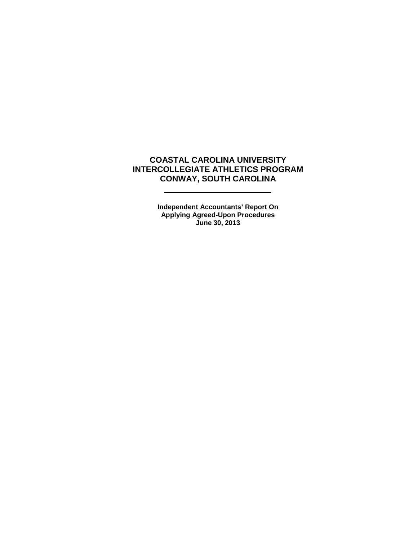## **COASTAL CAROLINA UNIVERSITY INTERCOLLEGIATE ATHLETICS PROGRAM CONWAY, SOUTH CAROLINA**

L

 $\overline{\phantom{a}}$ 

**Independent Accountants' Report On Applying Agreed-Upon Procedures June 30, 2013**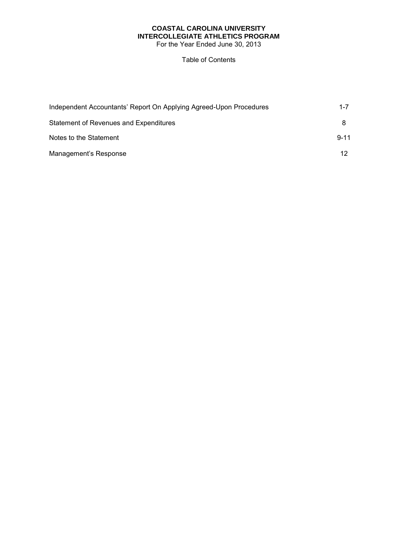# **COASTAL CAROLINA UNIVERSITY INTERCOLLEGIATE ATHLETICS PROGRAM**

For the Year Ended June 30, 2013

#### Table of Contents

| Independent Accountants' Report On Applying Agreed-Upon Procedures | $1 - 7$  |
|--------------------------------------------------------------------|----------|
| Statement of Revenues and Expenditures                             |          |
| Notes to the Statement                                             | $9 - 11$ |
| Management's Response                                              | 12       |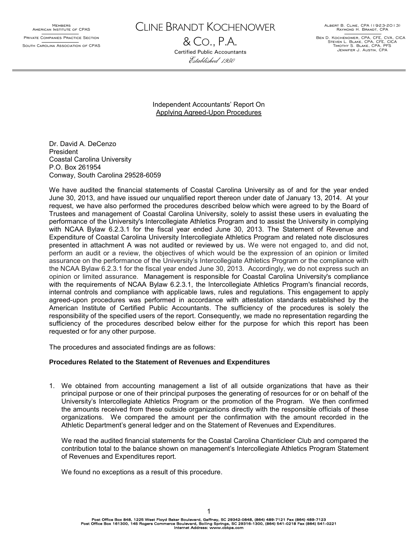MEMBERS<br>American Institute of CPAS Private Companies Practice Section South Carolina Association of CPAS CLINE BRANDT KOCHENOWER

& CO., P.A. Certified Public Accountants Established 1950

Albert B. Cline, CPA (1923-2013) Raymond H. Brandt, CPA

Ben D. Kochenower, CPA, CFE, CVA, CICA Steven L. Blake, CPA, CFE, CICA Timothy S. Blake, CPA, PFS Jennifer J. Austin, CPA

Independent Accountants' Report On Applying Agreed-Upon Procedures

Dr. David A. DeCenzo President Coastal Carolina University P.O. Box 261954 Conway, South Carolina 29528-6059

We have audited the financial statements of Coastal Carolina University as of and for the year ended June 30, 2013, and have issued our unqualified report thereon under date of January 13, 2014. At your request, we have also performed the procedures described below which were agreed to by the Board of Trustees and management of Coastal Carolina University, solely to assist these users in evaluating the performance of the University's Intercollegiate Athletics Program and to assist the University in complying with NCAA Bylaw 6.2.3.1 for the fiscal year ended June 30, 2013. The Statement of Revenue and Expenditure of Coastal Carolina University Intercollegiate Athletics Program and related note disclosures presented in attachment A was not audited or reviewed by us. We were not engaged to, and did not, perform an audit or a review, the objectives of which would be the expression of an opinion or limited assurance on the performance of the University's Intercollegiate Athletics Program or the compliance with the NCAA Bylaw 6.2.3.1 for the fiscal year ended June 30, 2013. Accordingly, we do not express such an opinion or limited assurance. Management is responsible for Coastal Carolina University's compliance with the requirements of NCAA Bylaw 6.2.3.1, the Intercollegiate Athletics Program's financial records, internal controls and compliance with applicable laws, rules and regulations. This engagement to apply agreed-upon procedures was performed in accordance with attestation standards established by the American Institute of Certified Public Accountants. The sufficiency of the procedures is solely the responsibility of the specified users of the report. Consequently, we made no representation regarding the sufficiency of the procedures described below either for the purpose for which this report has been requested or for any other purpose.

The procedures and associated findings are as follows:

#### **Procedures Related to the Statement of Revenues and Expenditures**

1. We obtained from accounting management a list of all outside organizations that have as their principal purpose or one of their principal purposes the generating of resources for or on behalf of the University's Intercollegiate Athletics Program or the promotion of the Program. We then confirmed the amounts received from these outside organizations directly with the responsible officials of these organizations. We compared the amount per the confirmation with the amount recorded in the Athletic Department's general ledger and on the Statement of Revenues and Expenditures.

We read the audited financial statements for the Coastal Carolina Chanticleer Club and compared the contribution total to the balance shown on management's Intercollegiate Athletics Program Statement of Revenues and Expenditures report.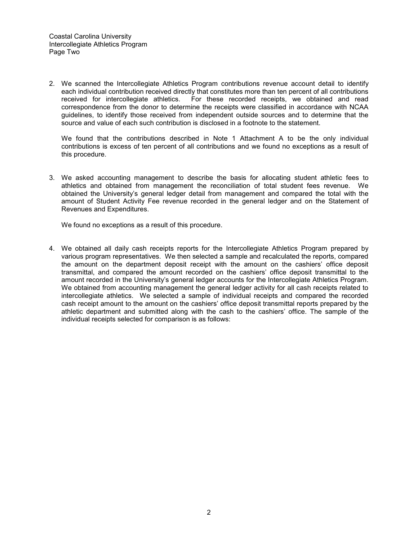2. We scanned the Intercollegiate Athletics Program contributions revenue account detail to identify each individual contribution received directly that constitutes more than ten percent of all contributions received for intercollegiate athletics. For these recorded receipts, we obtained and read correspondence from the donor to determine the receipts were classified in accordance with NCAA guidelines, to identify those received from independent outside sources and to determine that the source and value of each such contribution is disclosed in a footnote to the statement.

We found that the contributions described in Note 1 Attachment A to be the only individual contributions is excess of ten percent of all contributions and we found no exceptions as a result of this procedure.

3. We asked accounting management to describe the basis for allocating student athletic fees to athletics and obtained from management the reconciliation of total student fees revenue. We obtained the University's general ledger detail from management and compared the total with the amount of Student Activity Fee revenue recorded in the general ledger and on the Statement of Revenues and Expenditures.

We found no exceptions as a result of this procedure.

4. We obtained all daily cash receipts reports for the Intercollegiate Athletics Program prepared by various program representatives. We then selected a sample and recalculated the reports, compared the amount on the department deposit receipt with the amount on the cashiers' office deposit transmittal, and compared the amount recorded on the cashiers' office deposit transmittal to the amount recorded in the University's general ledger accounts for the Intercollegiate Athletics Program. We obtained from accounting management the general ledger activity for all cash receipts related to intercollegiate athletics. We selected a sample of individual receipts and compared the recorded cash receipt amount to the amount on the cashiers' office deposit transmittal reports prepared by the athletic department and submitted along with the cash to the cashiers' office. The sample of the individual receipts selected for comparison is as follows: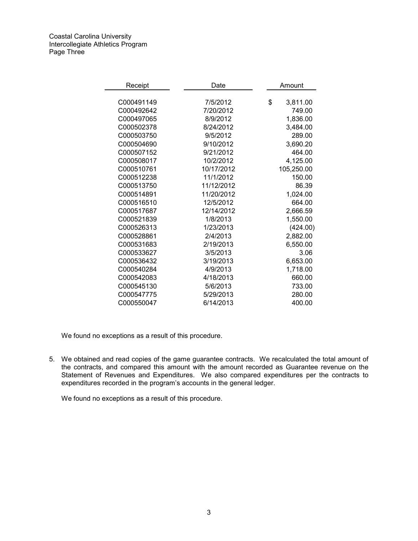Coastal Carolina University Intercollegiate Athletics Program Page Three

| Receipt    | Date       | Amount         |
|------------|------------|----------------|
|            |            |                |
| C000491149 | 7/5/2012   | \$<br>3,811.00 |
| C000492642 | 7/20/2012  | 749.00         |
| C000497065 | 8/9/2012   | 1,836.00       |
| C000502378 | 8/24/2012  | 3,484.00       |
| C000503750 | 9/5/2012   | 289.00         |
| C000504690 | 9/10/2012  | 3,690.20       |
| C000507152 | 9/21/2012  | 464.00         |
| C000508017 | 10/2/2012  | 4,125.00       |
| C000510761 | 10/17/2012 | 105,250.00     |
| C000512238 | 11/1/2012  | 150.00         |
| C000513750 | 11/12/2012 | 86.39          |
| C000514891 | 11/20/2012 | 1,024.00       |
| C000516510 | 12/5/2012  | 664.00         |
| C000517687 | 12/14/2012 | 2,666.59       |
| C000521839 | 1/8/2013   | 1,550.00       |
| C000526313 | 1/23/2013  | (424.00)       |
| C000528861 | 2/4/2013   | 2,882.00       |
| C000531683 | 2/19/2013  | 6,550.00       |
| C000533627 | 3/5/2013   | 3.06           |
| C000536432 | 3/19/2013  | 6,653.00       |
| C000540284 | 4/9/2013   | 1,718.00       |
| C000542083 | 4/18/2013  | 660.00         |
| C000545130 | 5/6/2013   | 733.00         |
| C000547775 | 5/29/2013  | 280.00         |
| C000550047 | 6/14/2013  | 400.00         |

We found no exceptions as a result of this procedure.

5. We obtained and read copies of the game guarantee contracts. We recalculated the total amount of the contracts, and compared this amount with the amount recorded as Guarantee revenue on the Statement of Revenues and Expenditures. We also compared expenditures per the contracts to expenditures recorded in the program's accounts in the general ledger.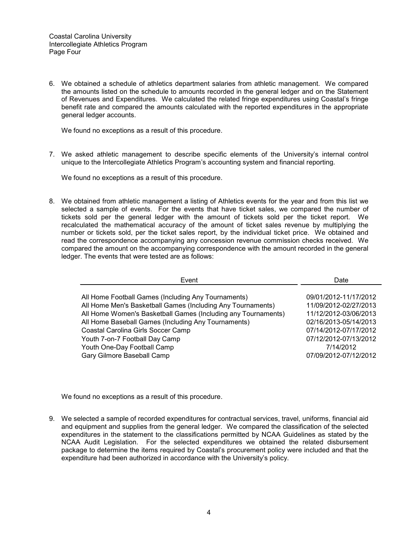6. We obtained a schedule of athletics department salaries from athletic management. We compared the amounts listed on the schedule to amounts recorded in the general ledger and on the Statement of Revenues and Expenditures. We calculated the related fringe expenditures using Coastal's fringe benefit rate and compared the amounts calculated with the reported expenditures in the appropriate general ledger accounts.

We found no exceptions as a result of this procedure.

7. We asked athletic management to describe specific elements of the University's internal control unique to the Intercollegiate Athletics Program's accounting system and financial reporting.

We found no exceptions as a result of this procedure.

8. We obtained from athletic management a listing of Athletics events for the year and from this list we selected a sample of events. For the events that have ticket sales, we compared the number of tickets sold per the general ledger with the amount of tickets sold per the ticket report. We recalculated the mathematical accuracy of the amount of ticket sales revenue by multiplying the number or tickets sold, per the ticket sales report, by the individual ticket price. We obtained and read the correspondence accompanying any concession revenue commission checks received. We compared the amount on the accompanying correspondence with the amount recorded in the general ledger. The events that were tested are as follows:

| Event                                                                                                                                                                                                                                                                                                                                                                           | Date                                                                                                                                                                                     |
|---------------------------------------------------------------------------------------------------------------------------------------------------------------------------------------------------------------------------------------------------------------------------------------------------------------------------------------------------------------------------------|------------------------------------------------------------------------------------------------------------------------------------------------------------------------------------------|
| All Home Football Games (Including Any Tournaments)<br>All Home Men's Basketball Games (Including Any Tournaments)<br>All Home Women's Basketball Games (Including any Tournaments)<br>All Home Baseball Games (Including Any Tournaments)<br>Coastal Carolina Girls Soccer Camp<br>Youth 7-on-7 Football Day Camp<br>Youth One-Day Football Camp<br>Gary Gilmore Baseball Camp | 09/01/2012-11/17/2012<br>11/09/2012-02/27/2013<br>11/12/2012-03/06/2013<br>02/16/2013-05/14/2013<br>07/14/2012-07/17/2012<br>07/12/2012-07/13/2012<br>7/14/2012<br>07/09/2012-07/12/2012 |
|                                                                                                                                                                                                                                                                                                                                                                                 |                                                                                                                                                                                          |

We found no exceptions as a result of this procedure.

9. We selected a sample of recorded expenditures for contractual services, travel, uniforms, financial aid and equipment and supplies from the general ledger. We compared the classification of the selected expenditures in the statement to the classifications permitted by NCAA Guidelines as stated by the NCAA Audit Legislation. For the selected expenditures we obtained the related disbursement package to determine the items required by Coastal's procurement policy were included and that the expenditure had been authorized in accordance with the University's policy.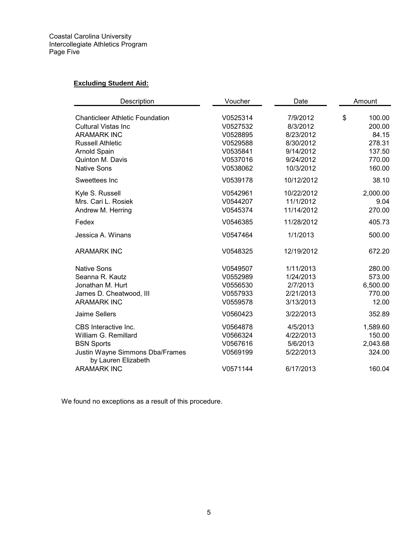## **Excluding Student Aid:**

| Description                                                                                                                 | Voucher                                                  | Date                                                         | Amount                                          |  |
|-----------------------------------------------------------------------------------------------------------------------------|----------------------------------------------------------|--------------------------------------------------------------|-------------------------------------------------|--|
| <b>Chanticleer Athletic Foundation</b><br><b>Cultural Vistas Inc</b><br><b>ARAMARK INC</b><br><b>Russell Athletic</b>       | V0525314<br>V0527532<br>V0528895<br>V0529588             | 7/9/2012<br>8/3/2012<br>8/23/2012<br>8/30/2012               | \$<br>100.00<br>200.00<br>84.15<br>278.31       |  |
| Arnold Spain<br><b>Quinton M. Davis</b><br><b>Native Sons</b>                                                               | V0535841<br>V0537016<br>V0538062                         | 9/14/2012<br>9/24/2012<br>10/3/2012                          | 137.50<br>770.00<br>160.00                      |  |
| Sweettees Inc                                                                                                               | V0539178                                                 | 10/12/2012                                                   | 38.10                                           |  |
| Kyle S. Russell<br>Mrs. Cari L. Rosiek<br>Andrew M. Herring                                                                 | V0542961<br>V0544207<br>V0545374                         | 10/22/2012<br>11/1/2012<br>11/14/2012                        | 2,000.00<br>9.04<br>270.00                      |  |
| Fedex                                                                                                                       | V0546385                                                 | 11/28/2012                                                   | 405.73                                          |  |
| Jessica A. Winans                                                                                                           | V0547464                                                 | 1/1/2013                                                     | 500.00                                          |  |
| <b>ARAMARK INC</b>                                                                                                          | V0548325                                                 | 12/19/2012                                                   | 672.20                                          |  |
| <b>Native Sons</b><br>Seanna R. Kautz<br>Jonathan M. Hurt<br>James D. Cheatwood, III<br><b>ARAMARK INC</b>                  | V0549507<br>V0552989<br>V0556530<br>V0557933<br>V0559578 | 1/11/2013<br>1/24/2013<br>2/7/2013<br>2/21/2013<br>3/13/2013 | 280.00<br>573.00<br>6,500.00<br>770.00<br>12.00 |  |
| Jaime Sellers                                                                                                               | V0560423                                                 | 3/22/2013                                                    | 352.89                                          |  |
| CBS Interactive Inc.<br>William G. Remillard<br><b>BSN Sports</b><br>Justin Wayne Simmons Dba/Frames<br>by Lauren Elizabeth | V0564878<br>V0566324<br>V0567616<br>V0569199             | 4/5/2013<br>4/22/2013<br>5/6/2013<br>5/22/2013               | 1,589.60<br>150.00<br>2,043.68<br>324.00        |  |
| <b>ARAMARK INC</b>                                                                                                          | V0571144                                                 | 6/17/2013                                                    | 160.04                                          |  |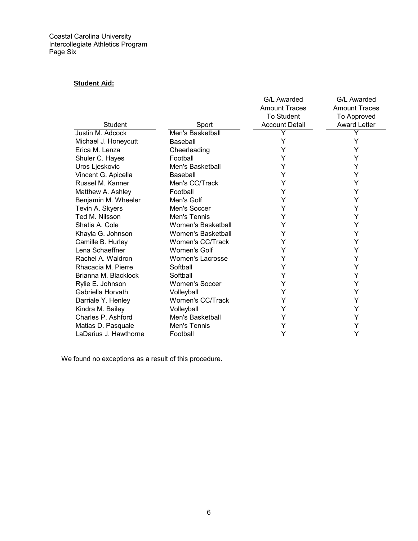Coastal Carolina University Intercollegiate Athletics Program Page Six

## **Student Aid:**

|                       |                           | G/L Awarded           | G/L Awarded          |
|-----------------------|---------------------------|-----------------------|----------------------|
|                       |                           | <b>Amount Traces</b>  | <b>Amount Traces</b> |
|                       |                           | <b>To Student</b>     | <b>To Approved</b>   |
| Student               | Sport                     | <b>Account Detail</b> | <b>Award Letter</b>  |
| Justin M. Adcock      | Men's Basketball          | Y                     | Y                    |
| Michael J. Honeycutt  | Baseball                  | Υ                     | Y                    |
| Erica M. Lenza        | Cheerleading              | Y                     | Y                    |
| Shuler C. Hayes       | Football                  | Y                     | Y                    |
| Uros Ljeskovic        | Men's Basketball          | Y                     | Y                    |
| Vincent G. Apicella   | Baseball                  | Y                     | Y                    |
| Russel M. Kanner      | Men's CC/Track            | Υ                     | Y                    |
| Matthew A. Ashley     | Football                  | Υ                     | Y                    |
| Benjamin M. Wheeler   | Men's Golf                | Y                     | Y                    |
| Tevin A. Skyers       | Men's Soccer              | Y                     | Y                    |
| Ted M. Nilsson        | Men's Tennis              | Y                     | Y                    |
| Shatia A. Cole        | Women's Basketball        | Υ                     | Y                    |
| Khayla G. Johnson     | <b>Women's Basketball</b> | Ý                     | Ý                    |
| Camille B. Hurley     | Women's CC/Track          | Y                     | Y                    |
| Lena Schaeffner       | <b>Women's Golf</b>       | Υ                     | Y                    |
| Rachel A. Waldron     | <b>Women's Lacrosse</b>   | Ý                     | Y                    |
| Rhacacia M. Pierre    | Softball                  | Y                     | Y                    |
| Brianna M. Blacklock  | Softball                  | Υ                     | Υ                    |
| Rylie E. Johnson      | <b>Women's Soccer</b>     | Y                     | Y                    |
| Gabriella Horvath     | Volleyball                | Υ                     | Υ                    |
| Darriale Y. Henley    | Women's CC/Track          | Y                     | Y                    |
| Kindra M. Bailey      | Volleyball                | Υ                     | Y                    |
| Charles P. Ashford    | Men's Basketball          | Y                     | Y                    |
| Matias D. Pasquale    | Men's Tennis              | Υ                     | Y                    |
| LaDarius J. Hawthorne | Football                  | Y                     | Y                    |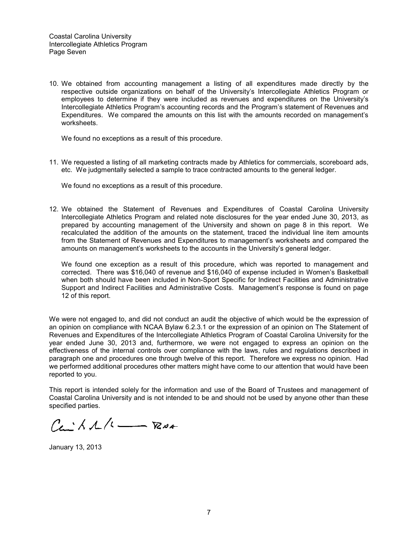10. We obtained from accounting management a listing of all expenditures made directly by the respective outside organizations on behalf of the University's Intercollegiate Athletics Program or employees to determine if they were included as revenues and expenditures on the University's Intercollegiate Athletics Program's accounting records and the Program's statement of Revenues and Expenditures. We compared the amounts on this list with the amounts recorded on management's worksheets.

We found no exceptions as a result of this procedure.

11. We requested a listing of all marketing contracts made by Athletics for commercials, scoreboard ads, etc. We judgmentally selected a sample to trace contracted amounts to the general ledger.

We found no exceptions as a result of this procedure.

12. We obtained the Statement of Revenues and Expenditures of Coastal Carolina University Intercollegiate Athletics Program and related note disclosures for the year ended June 30, 2013, as prepared by accounting management of the University and shown on page 8 in this report. We recalculated the addition of the amounts on the statement, traced the individual line item amounts from the Statement of Revenues and Expenditures to management's worksheets and compared the amounts on management's worksheets to the accounts in the University's general ledger.

We found one exception as a result of this procedure, which was reported to management and corrected. There was \$16,040 of revenue and \$16,040 of expense included in Women's Basketball when both should have been included in Non-Sport Specific for Indirect Facilities and Administrative Support and Indirect Facilities and Administrative Costs. Management's response is found on page 12 of this report.

We were not engaged to, and did not conduct an audit the objective of which would be the expression of an opinion on compliance with NCAA Bylaw 6.2.3.1 or the expression of an opinion on The Statement of Revenues and Expenditures of the Intercollegiate Athletics Program of Coastal Carolina University for the year ended June 30, 2013 and, furthermore, we were not engaged to express an opinion on the effectiveness of the internal controls over compliance with the laws, rules and regulations described in paragraph one and procedures one through twelve of this report. Therefore we express no opinion. Had we performed additional procedures other matters might have come to our attention that would have been reported to you.

This report is intended solely for the information and use of the Board of Trustees and management of Coastal Carolina University and is not intended to be and should not be used by anyone other than these specified parties.

 $C_{\leftarrow}$   $\wedge$   $\wedge$   $\wedge$   $\cdots$   $\neg$ 

January 13, 2013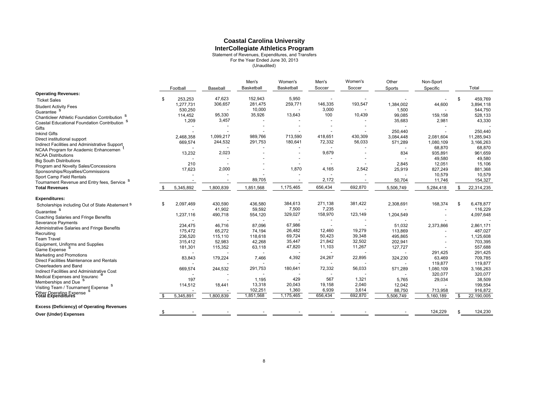# **Coastal Carolina University**

**InterCollegiate Athletics Program**<br>
Statement of Revenues, Expenditures, and Transfers<br>
For the Year Ended June 30, 2013<br>
(Unaudited)

|                                                            |      |           |           | Men's      | Women's    | Men's   | Women's | Other     | Non-Sport |                  |
|------------------------------------------------------------|------|-----------|-----------|------------|------------|---------|---------|-----------|-----------|------------------|
|                                                            |      | Football  | Baseball  | Basketball | Basketball | Soccer  | Soccer  | Sports    | Specific  | Total            |
| <b>Operating Revenues:</b>                                 |      |           |           |            |            |         |         |           |           |                  |
| <b>Ticket Sales</b>                                        | \$   | 253,253   | 47,623    | 152,943    | 5,950      |         |         |           |           | \$<br>459,769    |
| <b>Student Activity Fees</b>                               |      | 1,277,731 | 306,657   | 281,475    | 259,771    | 146,335 | 193,547 | 1,384,002 | 44,600    | 3,894,118        |
| Guarantee                                                  |      | 530,250   |           | 10,000     |            | 3,000   |         | 1,500     |           | 544,750          |
| Chanticleer Athletic Foundation Contribution               |      | 114,452   | 95,330    | 35,926     | 13,643     | 100     | 10,439  | 99,085    | 159,158   | 528,133          |
| <b>Coastal Educational Foundation Contribution</b>         |      | 1,209     | 3,457     |            |            |         |         | 35,683    | 2,981     | 43,330           |
| Gifts                                                      |      |           |           |            |            |         |         |           |           |                  |
| <b>Inkind Gifts</b>                                        |      |           |           |            |            |         |         | 250,440   |           | 250,440          |
| Direct institutional support                               |      | 2,468,358 | 1,099,217 | 989,766    | 713,590    | 418,651 | 430,309 | 3,084,448 | 2,081,604 | 11,285,943       |
| Indirect Facilities and Administrative Support,            |      | 669,574   | 244,532   | 291,753    | 180,641    | 72,332  | 56,033  | 571,289   | 1,080,109 | 3,166,263        |
| NCAA Program for Academic Enhancemen                       |      |           |           |            |            |         |         |           | 68,870    | 68,870           |
| <b>NCAA Distributions</b>                                  |      | 13,232    | 2,023     |            |            | 9,679   |         | 834       | 935,891   | 961,659          |
| <b>Big South Distributions</b>                             |      |           |           |            |            |         |         |           | 49,580    | 49,580           |
| Program and Novelty Sales/Concessions                      |      | 210       |           |            |            |         |         | 2,845     | 12,051    | 15,106           |
| Sponsorships/Royalties/Commissions                         |      | 17,623    | 2,000     |            | 1,870      | 4,165   | 2,542   | 25,919    | 827,249   | 881,368          |
| Sport Camp Field Rentals                                   |      |           |           |            |            |         |         |           | 10,579    | 10,579           |
| Tournament Revenue and Entry fees, Service <sup>S</sup>    |      |           |           | 89,705     |            | 2,172   |         | 50,704    | 11,746    | 154,327          |
| <b>Total Revenues</b>                                      | - \$ | 5,345,892 | 1,800,839 | 1,851,568  | 1,175,465  | 656,434 | 692,870 | 5,506,749 | 5,284,418 | \$<br>22,314,235 |
| <b>Expenditures:</b>                                       |      |           |           |            |            |         |         |           |           |                  |
| Scholarships including Out of State Abatement S            | S    | 2,097,469 | 430,590   | 436,580    | 384,613    | 271,138 | 381,422 | 2,308,691 | 168,374   | \$<br>6,478,877  |
| Guarantee                                                  |      |           | 41,902    | 59,592     | 7,500      | 7,235   |         |           |           | 116,229          |
| Coaching Salaries and Fringe Benefits                      |      | 1,237,116 | 490,718   | 554,120    | 329,027    | 158,970 | 123,149 | 1,204,549 |           | 4,097,648        |
| <b>Severance Payments</b>                                  |      |           |           | $\sim$     |            |         |         |           |           |                  |
| Administrative Salaries and Fringe Benefits                |      | 234,475   | 46,716    | 87,096     | 67,986     |         |         | 51,032    | 2,373,866 | 2,861,171        |
| Recruiting                                                 |      | 175,472   | 65,272    | 74,194     | 26,482     | 12,460  | 19,279  | 113,869   |           | 487,027          |
| <b>Team Travel</b>                                         |      | 236,520   | 115,110   | 118,618    | 69,724     | 50,423  | 39,348  | 495,865   |           | 1,125,608        |
| Equipment, Uniforms and Supplies                           |      | 315,412   | 52,983    | 42,268     | 35,447     | 21,842  | 32,502  | 202,941   |           | 703,395          |
| Game Expense                                               |      | 181,301   | 115,352   | 63,118     | 47,820     | 11,103  | 11,267  | 127,727   |           | 557,688          |
| Marketing and Promotions                                   |      |           |           |            |            |         |         |           | 291,425   | 291,425          |
| Direct Facilities Maintenance and Rentals                  |      | 83,843    | 179,224   | 7,466      | 4,392      | 24,267  | 22,895  | 324,230   | 63,469    | 709,785          |
| Cheerleaders and Band                                      |      |           |           |            |            |         |         |           | 119,877   | 119,877          |
| Indirect Facilities and Administrative Cost                |      | 669,574   | 244,532   | 291,753    | 180,641    | 72,332  | 56,033  | 571,289   | 1,080,109 | 3,166,263        |
| Medical Expenses and Insuranc                              |      |           |           |            |            |         |         |           | 320,077   | 320,077          |
| Memberships and Due <sup>S</sup>                           |      | 197       |           | 1,195      | 429        | 567     | 1,321   | 5,765     | 29,034    | 38,509           |
| Visiting Team / Tournament Expense S                       |      | 114,512   | 18,441    | 13,318     | 20,043     | 19,158  | 2,040   | 12,042    |           | 199,554          |
| Other Operating Expense <sup>S</sup><br>Total Expenditures |      |           |           | 102,251    | 1,360      | 6,939   | 3,614   | 88,750    | 713,958   | 916,872          |
|                                                            | -S   | 5,345,891 | 1,800,839 | 1,851,568  | 1,175,465  | 656,434 | 692,870 | 5,506,749 | 5,160,189 | \$<br>22,190,005 |
| <b>Excess (Deficiency) of Operating Revenues</b>           |      |           |           |            |            |         |         |           |           |                  |
| Over (Under) Expenses                                      | \$   |           |           |            |            |         |         |           | 124,229   | 124,230          |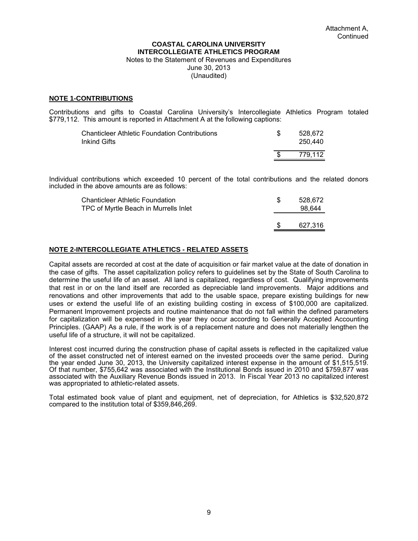#### **COASTAL CAROLINA UNIVERSITY INTERCOLLEGIATE ATHLETICS PROGRAM**  Notes to the Statement of Revenues and Expenditures June 30, 2013

(Unaudited)

#### **NOTE 1-CONTRIBUTIONS**

Contributions and gifts to Coastal Carolina University's Intercollegiate Athletics Program totaled \$779,112. This amount is reported in Attachment A at the following captions:

| Chanticleer Athletic Foundation Contributions<br>Inkind Gifts | 528.672<br>250.440 |
|---------------------------------------------------------------|--------------------|
|                                                               | 779.112            |

Individual contributions which exceeded 10 percent of the total contributions and the related donors included in the above amounts are as follows:

| <b>Chanticleer Athletic Foundation</b><br>TPC of Myrtle Beach in Murrells Inlet | 528.672<br>98.644 |
|---------------------------------------------------------------------------------|-------------------|
|                                                                                 | 627,316           |

#### **NOTE 2-INTERCOLLEGIATE ATHLETICS - RELATED ASSETS**

Capital assets are recorded at cost at the date of acquisition or fair market value at the date of donation in the case of gifts. The asset capitalization policy refers to guidelines set by the State of South Carolina to determine the useful life of an asset. All land is capitalized, regardless of cost. Qualifying improvements that rest in or on the land itself are recorded as depreciable land improvements. Major additions and renovations and other improvements that add to the usable space, prepare existing buildings for new uses or extend the useful life of an existing building costing in excess of \$100,000 are capitalized. Permanent Improvement projects and routine maintenance that do not fall within the defined parameters for capitalization will be expensed in the year they occur according to Generally Accepted Accounting Principles. (GAAP) As a rule, if the work is of a replacement nature and does not materially lengthen the useful life of a structure, it will not be capitalized.

Interest cost incurred during the construction phase of capital assets is reflected in the capitalized value of the asset constructed net of interest earned on the invested proceeds over the same period. During the year ended June 30, 2013, the University capitalized interest expense in the amount of \$1,515,519. Of that number, \$755,642 was associated with the Institutional Bonds issued in 2010 and \$759,877 was associated with the Auxiliary Revenue Bonds issued in 2013. In Fiscal Year 2013 no capitalized interest was appropriated to athletic-related assets.

Total estimated book value of plant and equipment, net of depreciation, for Athletics is \$32,520,872 compared to the institution total of \$359,846,269.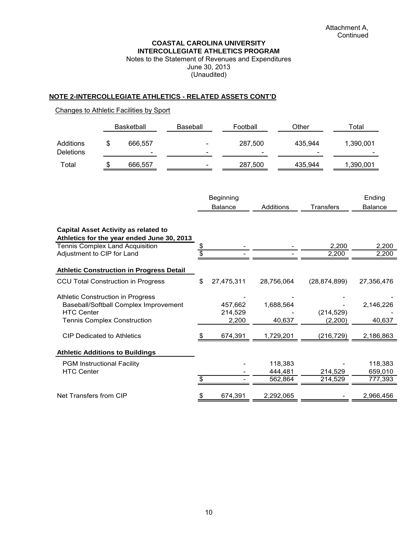#### **COASTAL CAROLINA UNIVERSITY INTERCOLLEGIATE ATHLETICS PROGRAM**

Notes to the Statement of Revenues and Expenditures June 30, 2013 (Unaudited)

#### **NOTE 2-INTERCOLLEGIATE ATHLETICS - RELATED ASSETS CONT'D**

#### Changes to Athletic Facilities by Sport

|                               |   | <b>Basketball</b> | Baseball                                             | Football                            | Other                               | ⊤otal     |
|-------------------------------|---|-------------------|------------------------------------------------------|-------------------------------------|-------------------------------------|-----------|
| Additions<br><b>Deletions</b> | S | 666.557<br>-      | $\overline{\phantom{0}}$<br>$\overline{\phantom{a}}$ | 287,500<br>$\overline{\phantom{a}}$ | 435.944<br>$\overline{\phantom{0}}$ | 1,390,001 |
| Total                         | S | 666,557           | $\overline{\phantom{0}}$                             | 287,500                             | 435,944                             | 1,390,001 |

| Beginning      |           |           | Ending         |
|----------------|-----------|-----------|----------------|
| <b>Balance</b> | Additions | Transfers | <b>Balance</b> |

#### **Capital Asset Activity as related to**

**Athletics for the year ended June 30, 2013** 

| Tennis Complex Land Acquisition                                                                                                       | \$ |                             |                               | 2,200                 | 2,200                         |
|---------------------------------------------------------------------------------------------------------------------------------------|----|-----------------------------|-------------------------------|-----------------------|-------------------------------|
| Adjustment to CIP for Land                                                                                                            |    |                             |                               | 2,200                 | 2,200                         |
| <b>Athletic Construction in Progress Detail</b>                                                                                       |    |                             |                               |                       |                               |
| <b>CCU Total Construction in Progress</b>                                                                                             | \$ | 27,475,311                  | 28,756,064                    | (28, 874, 899)        | 27,356,476                    |
| Athletic Construction in Progress<br>Baseball/Softball Complex Improvement<br><b>HTC Center</b><br><b>Tennis Complex Construction</b> |    | 457,662<br>214,529<br>2,200 | 1,688,564<br>40,637           | (214, 529)<br>(2,200) | 2,146,226<br>40,637           |
| <b>CIP Dedicated to Athletics</b>                                                                                                     |    | 674,391                     | 1,729,201                     | (216, 729)            | 2,186,863                     |
| <b>Athletic Additions to Buildings</b>                                                                                                |    |                             |                               |                       |                               |
| <b>PGM Instructional Facility</b><br><b>HTC Center</b>                                                                                |    |                             | 118,383<br>444,481<br>562,864 | 214,529<br>214,529    | 118,383<br>659,010<br>777,393 |
| Net Transfers from CIP                                                                                                                | S  | 674,391                     | 2,292,065                     |                       | 2,966,456                     |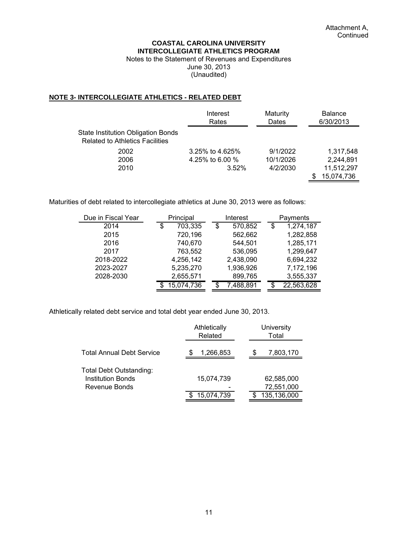#### **COASTAL CAROLINA UNIVERSITY INTERCOLLEGIATE ATHLETICS PROGRAM**

Notes to the Statement of Revenues and Expenditures June 30, 2013 (Unaudited)

#### **NOTE 3- INTERCOLLEGIATE ATHLETICS - RELATED DEBT**

|                                                                              | Interest<br>Rates | Maturity<br>Dates | <b>Balance</b><br>6/30/2013 |
|------------------------------------------------------------------------------|-------------------|-------------------|-----------------------------|
| State Institution Obligation Bonds<br><b>Related to Athletics Facilities</b> |                   |                   |                             |
| 2002                                                                         | 3.25% to 4.625%   | 9/1/2022          | 1.317.548                   |
| 2006                                                                         | 4.25% to 6.00 %   | 10/1/2026         | 2,244,891                   |
| 2010                                                                         | 3.52%             | 4/2/2030          | 11.512.297                  |
|                                                                              |                   |                   | 15,074,736                  |

Maturities of debt related to intercollegiate athletics at June 30, 2013 were as follows:

| Due in Fiscal Year | Principal     |    | Interest  |    | Payments   |  |
|--------------------|---------------|----|-----------|----|------------|--|
| 2014               | \$<br>703,335 | \$ | 570,852   | \$ | 1,274,187  |  |
| 2015               | 720,196       |    | 562,662   |    | 1,282,858  |  |
| 2016               | 740,670       |    | 544,501   |    | 1,285,171  |  |
| 2017               | 763,552       |    | 536,095   |    | 1,299,647  |  |
| 2018-2022          | 4,256,142     |    | 2,438,090 |    | 6,694,232  |  |
| 2023-2027          | 5,235,270     |    | 1,936,926 |    | 7,172,196  |  |
| 2028-2030          | 2,655,571     |    | 899,765   |    | 3,555,337  |  |
|                    | 15,074,736    |    | 7,488,891 |    | 22,563,628 |  |

Athletically related debt service and total debt year ended June 30, 2013.

|                                                     | Athletically<br>Related | University<br>Total       |  |  |
|-----------------------------------------------------|-------------------------|---------------------------|--|--|
| Total Annual Debt Service                           | 1,266,853<br>S          | 7,803,170<br>S            |  |  |
| Total Debt Outstanding:<br><b>Institution Bonds</b> | 15,074,739              | 62,585,000                |  |  |
| Revenue Bonds                                       | 15,074,739              | 72,551,000<br>135,136,000 |  |  |
|                                                     |                         |                           |  |  |